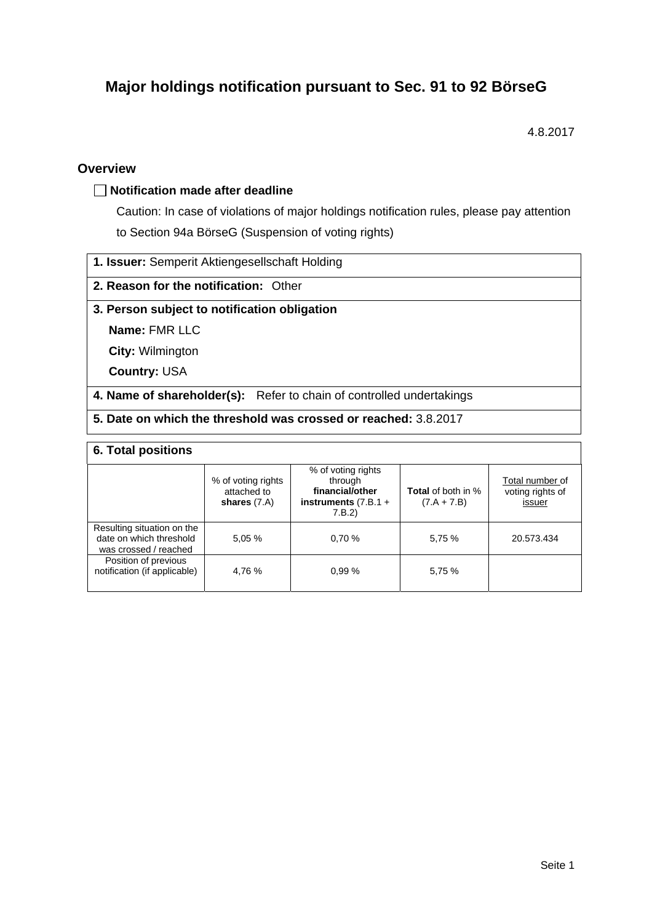# **Major holdings notification pursuant to Sec. 91 to 92 BörseG**

4.8.2017

### **Overview**

### **Notification made after deadline**

Caution: In case of violations of major holdings notification rules, please pay attention to Section 94a BörseG (Suspension of voting rights)

|  |  |  | 1. Issuer: Semperit Aktiengesellschaft Holding |  |
|--|--|--|------------------------------------------------|--|
|--|--|--|------------------------------------------------|--|

### **2. Reason for the notification:** Other

### **3. Person subject to notification obligation**

**Name:** FMR LLC

**City:** Wilmington

**Country:** USA

**4. Name of shareholder(s):** Refer to chain of controlled undertakings

**5. Date on which the threshold was crossed or reached:** 3.8.2017

### **6. Total positions**

|                                                                                | % of voting rights<br>attached to<br>shares $(7.A)$ | % of voting rights<br>through<br>financial/other<br>instruments $(7.B.1 +$<br>7.B.2 | <b>Total</b> of both in %<br>$(7.A + 7.B)$ | Total number of<br>voting rights of<br>issuer |  |  |  |
|--------------------------------------------------------------------------------|-----------------------------------------------------|-------------------------------------------------------------------------------------|--------------------------------------------|-----------------------------------------------|--|--|--|
| Resulting situation on the<br>date on which threshold<br>was crossed / reached | 5,05 %                                              | 0.70%                                                                               | 5,75 %                                     | 20.573.434                                    |  |  |  |
| Position of previous<br>notification (if applicable)                           | 4,76 %                                              | 0.99%                                                                               | 5,75 %                                     |                                               |  |  |  |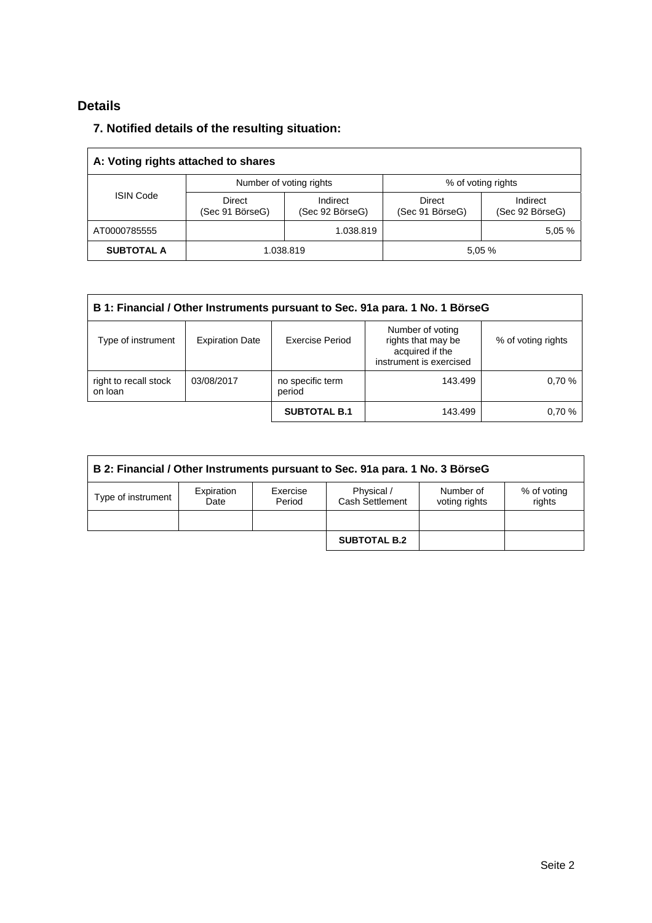## **Details**

### **7. Notified details of the resulting situation:**

| A: Voting rights attached to shares |                           |                             |                                  |                             |  |  |
|-------------------------------------|---------------------------|-----------------------------|----------------------------------|-----------------------------|--|--|
|                                     |                           | Number of voting rights     | % of voting rights               |                             |  |  |
| <b>ISIN Code</b>                    | Direct<br>(Sec 91 BörseG) | Indirect<br>(Sec 92 BörseG) | <b>Direct</b><br>(Sec 91 BörseG) | Indirect<br>(Sec 92 BörseG) |  |  |
| AT0000785555                        |                           | 1.038.819                   |                                  | 5.05 %                      |  |  |
| <b>SUBTOTAL A</b>                   | 1.038.819                 |                             | 5.05%                            |                             |  |  |

| B 1: Financial / Other Instruments pursuant to Sec. 91a para. 1 No. 1 BörseG |                        |                            |                                                                                      |                    |  |  |  |
|------------------------------------------------------------------------------|------------------------|----------------------------|--------------------------------------------------------------------------------------|--------------------|--|--|--|
| Type of instrument                                                           | <b>Expiration Date</b> | <b>Exercise Period</b>     | Number of voting<br>rights that may be<br>acquired if the<br>instrument is exercised | % of voting rights |  |  |  |
| right to recall stock<br>03/08/2017<br>on loan                               |                        | no specific term<br>period | 143.499                                                                              | 0.70%              |  |  |  |
|                                                                              |                        | <b>SUBTOTAL B.1</b>        | 143.499                                                                              | 0.70%              |  |  |  |

| B 2: Financial / Other Instruments pursuant to Sec. 91a para. 1 No. 3 BörseG |                    |                    |                               |                            |                       |  |  |
|------------------------------------------------------------------------------|--------------------|--------------------|-------------------------------|----------------------------|-----------------------|--|--|
| Type of instrument                                                           | Expiration<br>Date | Exercise<br>Period | Physical /<br>Cash Settlement | Number of<br>voting rights | % of voting<br>rights |  |  |
|                                                                              |                    |                    |                               |                            |                       |  |  |
|                                                                              |                    |                    | <b>SUBTOTAL B.2</b>           |                            |                       |  |  |